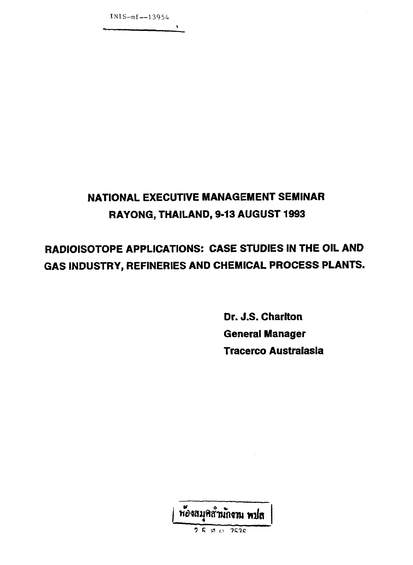**INIS-mf—13954** 

**v v v v v** 

# **NATIONAL EXECUTIVE MANAGEMENT SEMINAR RAYONG, THAILAND, 9-13 AUGUST 1993**

## **RADIOISOTOPE APPLICATIONS: CASE STUDIES IN THE OIL AND GAS INDUSTRY, REFINERIES AND CHEMICAL PROCESS PLANTS.**

**Dr. J.S. Charlton General Manager Tracerco Australasia** 



**1 K sa i.)** *laic*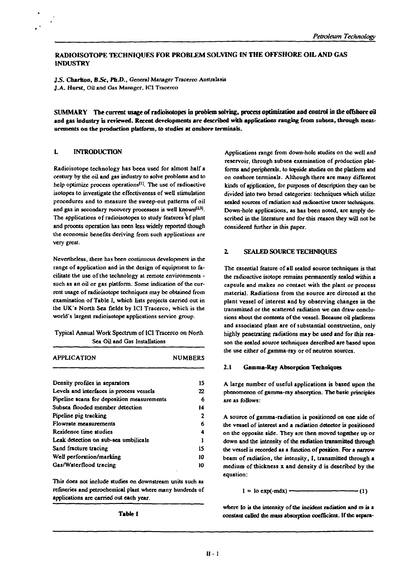## **RADIOISOTOPE TECHNIQUES FOR PROBLEM SOLVING IN THE OFFSHORE OIL AND GAS INDUSTRY**

**J.S. Chariton, B.Sc, Ph.D.,** *Genera) Manager* **Tracerco Australasia J.A. Hurst, Oil and Gas Manager, ICI Tracerco** 

**SUMMARY The current usage of radioisotopes in problem solving, process optimization and control in the offshore oil and gas industry is reviewed. Recent developments are described with applications ranging from subsea, through measurements on the production platform, to studies at onshore terminals.** 

## **L INTRODUCTION**

**Radioisotope technology has been used for almost half a century by the oil and gas industry to solve problems and to help optimize process operations'<sup>1</sup> ). The use of radioactive isotopes to investigate the effectiveness of well stimulation procedures and to measure the sweep-out patterns of oil**  and gas in secondary recovery processess is well known<sup>[2,3]</sup>. The applications of radioisotopes to study features of plant **and process operation has oeen less widely reported though the economic benefits deriving from such applications** *are*  **very great.** 

**Nevertheless, there has been continuous development in the range of application and in the design of equipment to facilitate the use of the technology at remote environments such as an oil or gas platform. Some indication of the current usage of radioisotope techniques may be obtained from examination of Table I, which lists projects carried out in the UK's North Sea fields by ICI Tracerco, which is the world's largest radioisotope applications servicc group.** 

| Typical Annual Work Spectrum of ICI Tracerco on North |
|-------------------------------------------------------|
| Sea Oil and Gas Installations                         |

| <b>APPLICATION</b>                         | <b>NUMBERS</b> |  |
|--------------------------------------------|----------------|--|
| Density profiles in separators             | 15             |  |
| Levels and interfaces in process vessels   | 22.            |  |
| Pipeline scans for deposition measurements | 6              |  |
| Subsex flooded member detection            | 14             |  |
| Pipeline pig tracking                      | 2              |  |
| Flowrate measurements                      | 6              |  |
| Residence time studies                     | 4              |  |
| Leak detection on sub-sea umbilicals       |                |  |
| Sand fracture tracing                      | 15             |  |
| Well perforation/marking                   | 10             |  |
| Gas/Waterflood tracing                     | 10             |  |

**This does not include studies on downstream units such as refineries and petrochemical plant where many hundreds of applications are carried out each year.** 

**Table 1** 

**Applications range from down-hole studies on the well and reservoir, through subsea examination of production platforms and peripherals, to topside studies on the platform and on onshore terminals. Although there are many different kinds of application, for purposes of description they can be divided into two broad categories: techniques which utilize sealed sources of radiation and radioactive tracer techniques. Down-hole applications, as has been noted, are amply described in the literature and for this reason they will not be considered further in this paper.** 

## **2. SEALED SOURCE TECHNIQUES**

**The essential feature of all sealed source techniques is that the radioactive isotope remains permanently sealed within a capsule and makes no contact with the plant or process material. Radiations from the source are directed at the plant vessel of interest and by observing changes in the transmitted or the scattered radiation we can draw conclusions about the contents of the vessel. Because oil platforms and associated plant are of substantial construction, only highly penetrating radiations may be used and for this reason the sealed source techniques described are based upon the use either of gamma-ray or of neutron sources.** 

#### **2.1 Gamma-Ray Absorption Techniques**

**A large number of useful applications is based upon the phenomenon of gamma-ray absorption. The basic principles are as follows:** 

**A source of gamma-radiation is positioned on one side of the vessel of interest and a radiation detector is positioned on the opposite side. They are then moved together up or down and the intensity of the radiation transmitted through the vessel is recorded as a function of position. For a narrow beam of radiation, the intensity, I, transmitted through a medium of thickness x and density d is described by the equation:** 

 $I =$  Io exp(-mdx)  $\rightarrow$  (1)

**where lo is the intensity of the incident radiation and m is a constant called the mass absorption coefficient. If the separa-**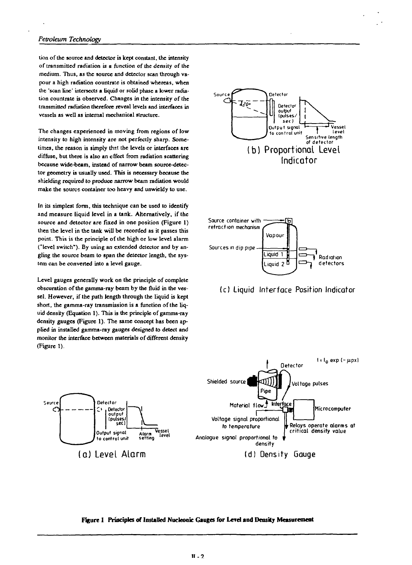#### *Petroleum Technology*

**lion of the source and detector is kept constant, the intensity of transmitted radiation is a function of the density of the medium. Thus, as the source and detector scan through vapour a high radiation counlrate is obtained whereas, when the 'scan lime' intersects a liquid or solid phase a lower radiation counlrale is observed. Changes in the intensity of the transmitted radiation therefore reveal levels and interfaces in vessels as well as internal mechanical structure.** 

**The changes experienced in moving from regions of low intensity to high intensity are not perfectly sharp. Sometimes, the reason is simply that the levels or interfaces are diffuse, but there is also an effect from radiation scattering because wide-beam, instead of narrow beam source-detector geometry is usually used. This is necessary because the shielding required to produce narrow beam radiation would make the source container too heavy and unwieldy to use.** 

**In its simplest form, this technique can be used to identify and measure liquid level in a tank. Alternatively, if the source and detector are fixed in one position (Figure 1) then the level in the tank will be recorded as it passes this point. This is the principle of the high or low level alarm ("level switch"). By using an extended detector and by angling the source beam to span the detector length, the system can be converted into a level gauge.** 

**Level gauges generally work on the principle of complete obscuration of the gamma-ray beam by the fluid in the vessel. However, if the path length through the liquid is kept short, the gamma-ray transmission is a function of the liquid density (Equation 1). This is the principle of gamma-ray density gauges (Figure 1). The same concept has been applied in installed gamma-ray gauges designed to detect and monitor the interface between materials of different density (Figure 1).** 



(c) Liquid Interface Position Indicator



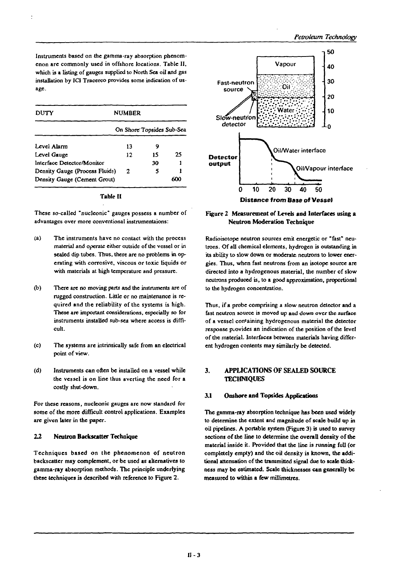**Instruments based on the gamma-ray absorption phenomenon are commonly used in offshore locations. Table II, which is a listing of gauges supplied to North Sea oil and gas installation by ICI Tracerco provides some indication of usage.** 

| <b>DUTY</b><br>Level Alarm     | <b>NUMBER</b> | On Shore Topsides Sub-Sea |    |  |
|--------------------------------|---------------|---------------------------|----|--|
|                                |               |                           |    |  |
|                                | 13            | 9                         |    |  |
| Level Gauge                    | 12            | 15                        | 25 |  |
| Interface Detector/Monitor     |               | 30                        |    |  |
| Density Gauge (Process Fluids) | 2             | 5                         |    |  |
| Density Gauge (Cement Grout)   |               |                           | m  |  |

**Table II** 

**These so-called "nucleonic" gauges possess a number of advantages over more conventional instrumentaions:** 

- **(a) The instruments have no contact with the process material and operate either outside of the vessel or in sealed dip tubes. Thus, there are no problems in operating with corrosive, viscous or toxic liquids or with materials at high temperature and pressure.**
- **(b) There are no moving parts and the instruments are of rugged construction. Little or no maintenance is required and the reliability of the systems is high. These are important considerations, especially so for instruments installed sub-sea where access is difficult.**
- **(c) The systems are intrinsically safe from an electrical point of view.**
- **(d) Instruments can often be installed on a vessel while the vessel is on line thus averting the need for a costly shut-down.**

**For these reasons, nucleonic gauges arc now standard for some of the more difficult control applications. Examples are given later in the paper.** 

## *12* **Neutron Backscatter Technique**

**Techniques based on the phenomenon of neutron backscatter may complement, or be used as alternatives to gamma-ray absorption methods. The principle underlying these techniques is described with reference to Figure 2.** 



**Figure** *2* **Measurement of Levels and Interfaces using a Neutron Moderation Technique** 

**Radioisotope neutron sources emit energetic or "fast" neutrons. Of all chemical elements, hydrogen is outstanding in its ability to slow down or moderate neutrons to lower energies. Thus, when fast neutrons from an isotope source are directed into a hydrogenous material, the number of slow neutrons produced is, to a good approximation, proportional to the hydrogen concentration.** 

**Thus, if a probe comprising a slow neutron detector and a fast neutron source is moved up and down over the surface of a vessel con'aining hydrogenous material the detector response provides an indication of the position of the level of the material. Interfaces between materials having different hydrogen contents may similarly be detected.** 

## **3. APPLICATIONS OF SEALED SOURCE TECHNIQUES**

#### **3.1 Onshore and Topsides Applications**

**The gamma-ray absorption technique has been used widely to determine the extent and magnitude of scale build up in oil pipelines. A portable system (Figure 3) is used to survey sections of the line to determine the overall density of the material inside it. Provided that the line is running full (or completely empty) and the oil density is known, the additional attenuation of the transmitted signal due to scale thickness may be estimated. Scale thicknesses can generally be measured to within a few millimetres.**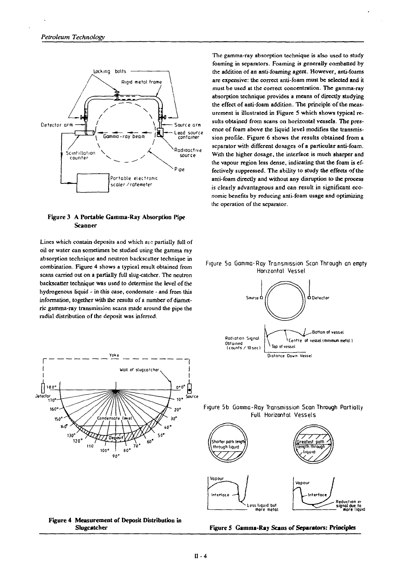

#### **Figure 3 A Portable Gamma-Ray Absorption Pipe Scanner**

Lines which contain deposits and which are partially full of **oil or water can sometimes be studied using the gamma ray absorption technique and neutron backscatter technique in combination. Figure 4 shows a typical result obtained from scans carried out on a partially full slug-catcher. The neutron backscatter technique was used to determine the level of the hydrogenous liquid - in this case, condensate - and from this information, together with the results of a number of diametric gamma-ray transmission scans made around the pipe the radial distribution of the deposit was inferred.** 

Yoke

 $\prod$ 180'

 $160^\circ$ 

150

× d

130

 $\begin{array}{c}\n\bigcup \n\text{Vector} \\
170^{\circ}\n\end{array}$ 

Wall of sluacatcher

 $0°0°$ П

 $20<sup>o</sup>$ 

Source  $10<sup>1</sup>$ 

**The gamma-ray absorption technique is also used to study foaming in separators. Foaming is generally combatted by the addition of an anti-foaming agent. However, anti-foams are expensive: the correct anti-foam must be selected and it must be used at the correct concentration. The gamma-ray absorption technique provides a means of directly studying the effect of anti-foam addition. The principle of the measurement is illustrated in Figure 5 which shows typical results obtained from scans on horizontal vessels. The presence of foam above the liquid level modifies the transmission profile. Figure 6 shows the results obtained from a separator with, different dosages of a particular anti-foam. With the higher dosage, the interface is much sharper and the vapour region less dense, indicating that the foam is effectively suppressed. The ability to study the effects of the anti-foam directly and without any disruption to the process is clearly advantageous and can result in significant economic benefits by reducing anti-foam usage and optimizing the operation of the separator.** 





Figure 5b Gamma-Ray Transmission Scan Through Partially Full Horizontal Vessels

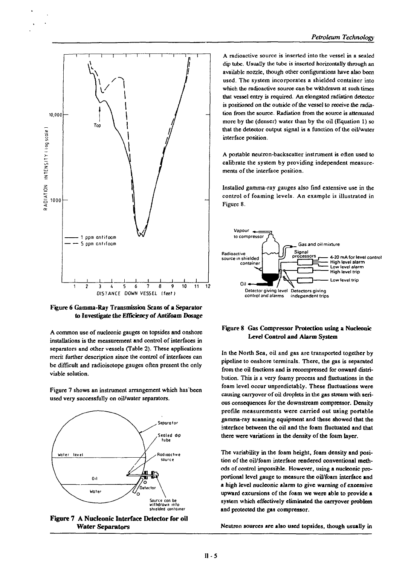

**Figure 6 Gamma-Ray Transmission Scans of a Separator to Investigate the Efficiency of Antifoam Dosage** 

**A common use of nucleonic gauges on topsides and onshore installations is the measurement and control of interfaces in separators and other vessels (Table** *2).* **These applications merit further description since the control of interfaces can be difficult and radioisotope gauges often present the only viable solution.** 

**Figure 7 shows an instrument arrangement which has'been used very successfully on oil/water separators.** 



**Figure 7 A Nucleonic Interface Detector for oil Water Separators** 

**A radioactive source is inserted into the vessel in a sealed dip tube. Usually the tube is inserted horizontally through an available nozzle, though other configurations have also been used. The system incorporates a shielded container into which the radioactive source can be withdrawn at such times that vessel entry is required. An elongated radiation detector is positioned on the outside of the vessel to receive the radiation from the source. Radiation from the source is attenuated more by the (denser) water than by the oil (Equation 1) so that the detector output signal is a function of the oil/water interface position.** 

**A portable neutron-backscatter instrument is often used to calibrate the system by providing independent measurements of the interface position.** 

**Installed gamma-ray gauges also find extensive use in the control of foaming levels. An example is illustrated in Figure 8.** 



#### **Figure 8 Gas Compressor Protection using a Nucleonic Level Control and Alarm System**

**In the North Sea, oil and gas are transported together by pipeline to onshore terminals. There, the gas is separated from the oil fractions and is recompressed for onward distribution. This is a very foamy process and fluctuations in the foam level occur unpredictably. These fluctuations were causing carryover of oil droplets in the gas stream with serious consequences for the downstream compressor. Density profile measurements were carried out using portable gamma-ray scanning equipment and these showed that the interface between the oil and the foam fluctuated and that there were variations in the density of the foam layer.** 

**The variability in the foam height, foam density and position of the oil/foam interface rendered conventional methods of control impossible. However, using a nucleonic proportional level gauge to measure the oil/foam interface and a high level nucleonic alarm to give warning of excessive upward excursions of the foam we were able to provide a system which effectively eliminated the carryover problem and protected the gas compressor.** 

**Neutron sources are also used topsides, though usually in**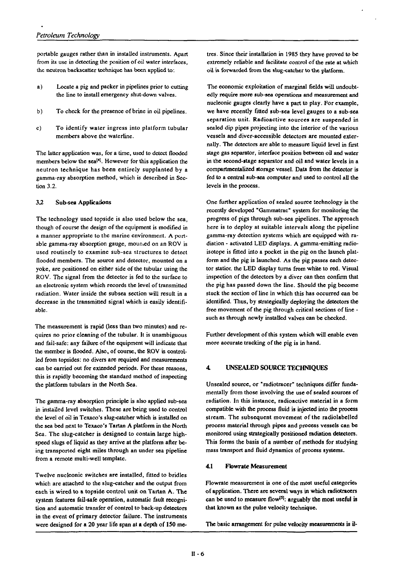**portable gauges rather than in installed instruments. Apart from its use in detecting the position of oil water interfaces, the neutron backscatter technique has been applied to:** 

- **a) Locate a pig and packer in pipelines prior to cutting the line to install emergency shut-down valves.**
- **b) To check for the presence of brine in oil pipelines.**
- **c) To identify water ingress into platform tubular members above the waterline.**

**The latter application was, for a time, used to detect flooded members below the sea'<sup>4</sup> '. However for this application the neutron technique has been entirely supplanted by a gamma-ray absorption method, which is described in Section 3.2.** 

#### *32* **Sub-sea Applications**

**The technology used topside is also used below the sea, though of course the design of the equipment is modified in a manner appropriate to the marine environment. A portable gamma-ray absorption gauge, mourued on an RO V is used routinely to examine sub-sea structures to detect flooded members. The source and detector, mounted on a yoke, are positioned on either side of the tubular using the ROV . The signal from the detector is fed to the surface to an electronic system which records the level of transmitted radiation. Water inside the subsea section will result in a decrease in the transmitted signal which is easily identifiable.** 

**The measurement is rapid (less than two minutes) and requires no prior cleaning of the tubular. It is unambiguous and fail-safe: any failure of the equipment will indicate that the member is flooded. Also, of course, the ROV is controlled from topsides: no divers are required and measurements can be carried out for extended periods. For these reasons, this is rapidly becoming the standard method of inspecting the platform tubulars in the North Sea.** 

**The gamma-ray absorption principle is also applied sub-sea in installed level switches. These are being used to control the level of oil in Texaco's slug-catcher which is installed on the sea bed next to Texaco's Tartan A platform in the North Sea. The slug-catcher is designed to contain large highspeed slugs of liquid as they arrive at the platform after being transported eight miles through an under sea pipeline from a remote multi-well template.** 

**Twelve nucleonic switches are installed, fitted to bridles which are attached to the slug-catcher and the output from each is wired to a topside control unit on Tartan A . The system features fail-safe operation, automatic fault recognition and automatic transfer of control to back-up detectors in the event of primary detector failure. The instruments were designed for a 2 0 year life span at a depth of 15 0 me-** **tres. Since their installation in 1985 they have proved to be extremely reliable and facilitate control of the rate at which oil is forwarded from the slug-catcher to the platform.** 

**The economic exploitation of marginal fields will undoubtedly require more sub-sea operations and measurement and nucleonic gauges clearly have a part to play. For example, we have recently fitted sub-sea level gauges to a sub-sea separation unit. Radioactive sources are suspended in sealed dip pipes projecting into the interior of the various vessels and diver-accessible detectors are mounted externally. The detectors are able to measure liquid level in first stage gas separator, interface position between oil and water in the second-stage separator and oil and water levels in a compartmentalized storage vessel. Data from the detector is fed to a central sub-sea computer and used to control all the levels in the process.** 

**One further application of sealed source technology is the recently developed "Gammatrac" system for monitoring the progress of pigs through sub-sea pipelines. The approach here is to deploy at suitable intervals along the pipeline gamma-ray detection systems which are equipped with radiation - activated LED displays. A gamma-emitting radioisotope is fitted into a pocket in the pig on the launch platform and the pig is launched. As the pig passes each detector statior. the LED display turns from white to red. Visual inspection of the detectors by a diver can then confirm that the pig has passed down the line. Should the pig become stuck the section of line in which this has occurred can be identified. Thus, by strategically deploying the detectors the free movement of the pig through critical sections of line such as through newly installed valves can be checked.** 

**Further development of this system which will enable even more accurate tracking of the pig is in hand.** 

#### **4. UNSEALED SOURCE TECHNIQUES**

**Unsealed source, or "radiotracer" techniques differ fundamentally from those involving the use of sealed sources of radiation. In this instance, radioactive material in a form compatible with the process fluid is injected into the process stream. The subsequent movement of the radiolabelled process material through pipes and process vessels can be monitored using strategically positioned radiation detectors. This forms the basis of a number of methods for studying mass transport and fluid dynamics of process systems.** 

#### **4.1 Flowrate Measurement**

**Flowrate measurement is one of the most useful categories of application. There are several ways in which radiotracers can be used to measure flow'<sup>5</sup> ': arguably the most useful is that known as the pulse velocity technique.** 

**The basic arrangement for pulse velocity measurements is il-**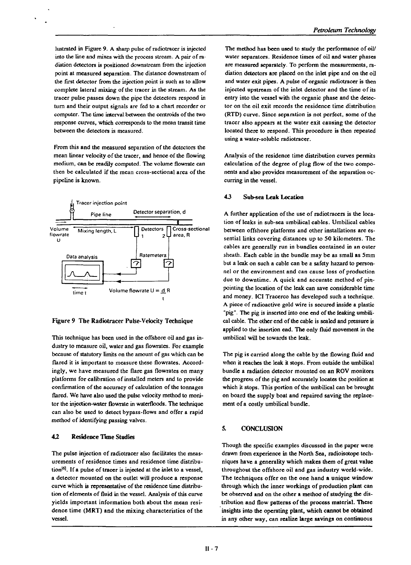**lustra ted in Figure 9. A sharp pulse of radiotracer is injected into the line and mixes with the process stream. A pair of radiation detectors is positioned downstream from the injection point at measured separation. The distance downstream of the first detector from the injection point is such as to allow complete lateral mixing of the tracer in the stream. As the tracer pulse passes down the pipe the detectors respond in turn and their output signals are fed to a chart recorder or computer. The time interval between the centroids of the two response curves, which corresponds to the mean transit time between the detectors is measured.** 

**From this and the measured separation of the detectors the mean linear velocity of the tracer, and hence of the flowing medium, can be readily computed. The volume flowrate can then be calculated if the mean cross-sectional area of the pipeline is known.** 



**Figure 9 The Radiotracer Pulse-Velocity Technique** 

**This technique has been used in the offshore oil and gas industry to measure oil, water and gas flowrates. For example because of statutory limits on the amount of gas which can be flared it is important to measure these flowrates. Accordingly, we have measured the flare gas flowrates on many platforms for calibration of installed meters and to provide confirmation of the accuracy of calculation of the tonnages flared. We have also used the pulse velocity method to monitor the injection-water flowrate in waterfloods. The technique can also be used to detect bypass-flows and offer a rapid method of identifying passing valves.** 

#### **42 Residence Time Studies**

**The pulse injection of radiotracer also facilitates the measurements of residence times and residence time distribution'<sup>6</sup> '. If a pulse of tracer is injected at the inlet to a vessel, a detector mounted on the outlet will produce a response curve which is representative of the residence time distribution of elements of fluid in the vessel. Analysis of this curve yields important information both about the mean residence time (MRT) and the mixing characteristics of the vessel.** 

**The method has been used to study the performance of oil/ water separators. Residence times of oil and water phases are measured separately. To perform the measurements, radiation detectors are placed on the inlet pipe and on the oil and water exit pipes. A pulse of organic radiotracer is then injected upstream of the inlet detector and the time of its entry into the vessel with the organic phase and the detector on the oil exit records the residence time distribution (RTD) curve. Since separation is not perfect, some of the tracer also appears at the water exit causing the detector located there to respond. This procedure is then repeated using a water-soluble radiotracer.** 

**Analysis of the residence time distribution curves permits calculation of the degree of plug flow of the two components and also provides measurement of the separation occurring in the vessel.** 

#### **43 Sub-sea Leak Location**

**A further application of the use of radiotracers is the location of leaks in sub-sea umbilical cables. Umbilical cables between offshore platforms and other installations are essential links covering distances up to SO kilometers. The cables are generally run in bundles contained in an outer sheath. Each cable in the bundle may be as small as Smm but a leak on such a cable can be a safely hazard to personnel or the environment and can cause loss of production due to downtime. A quick and accurate method of pinpointing the location of the leak can save considerable time and money. ICI Tracerco has developed such a technique. A piece of radioactive gold wire is secured inside a plastic "pig". The pig is inserted into one end of the leaking umbilical cable. The other end of the cable is sealed and pressure is applied to the insertion end. The only fluid movement in the umbilical will be towards the leak.** 

**The pig is carried along the cable by the flowing fluid and when it reaches the leak it stops. From outside the umbilical bundle a radiation detector mounted on an ROV monitors the progress of the pig and accurately locates the position at which it stops. This portion of the umbilical can be brought on board the supply boat and repaired saving the replacement of a costly umbilical bundle.** 

## **5. CONCLUSION**

**Though the specific examples discussed in the paper were drawn from experience in the North Sea, radioisotope techniques have a generality which makes them of great value throughout the offshore oil and gas industry world-wide. The techniques offer on the one hand a unique window through which the inner workings of production plant can be observed and on the other a method of studying the distribution and flow patterns of the process material. These insights into the operating plant, which cannot be obtained in any other way, can realize large savings on continuous**